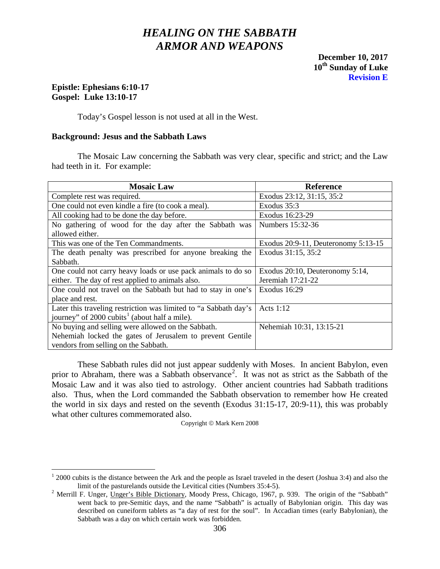# *HEALING ON THE SABBATH ARMOR AND WEAPONS*

**December 10, 2017 10th Sunday of Luke Revision E**

## **Epistle: Ephesians 6:10-17 Gospel: Luke 13:10-17**

Today's Gospel lesson is not used at all in the West.

## **Background: Jesus and the Sabbath Laws**

The Mosaic Law concerning the Sabbath was very clear, specific and strict; and the Law had teeth in it. For example:

| <b>Mosaic Law</b>                                                | <b>Reference</b>                    |
|------------------------------------------------------------------|-------------------------------------|
| Complete rest was required.                                      | Exodus 23:12, 31:15, 35:2           |
| One could not even kindle a fire (to cook a meal).               | Exodus 35:3                         |
| All cooking had to be done the day before.                       | Exodus 16:23-29                     |
| No gathering of wood for the day after the Sabbath was           | Numbers 15:32-36                    |
| allowed either.                                                  |                                     |
| This was one of the Ten Commandments.                            | Exodus 20:9-11, Deuteronomy 5:13-15 |
| The death penalty was prescribed for anyone breaking the         | Exodus 31:15, 35:2                  |
| Sabbath.                                                         |                                     |
| One could not carry heavy loads or use pack animals to do so     | Exodus 20:10, Deuteronomy 5:14,     |
| either. The day of rest applied to animals also.                 | Jeremiah $17:21-22$                 |
| One could not travel on the Sabbath but had to stay in one's     | Exodus 16:29                        |
| place and rest.                                                  |                                     |
| Later this traveling restriction was limited to "a Sabbath day's | Acts $1:12$                         |
| journey" of $2000$ cubits <sup>1</sup> (about half a mile).      |                                     |
| No buying and selling were allowed on the Sabbath.               | Nehemiah 10:31, 13:15-21            |
| Nehemiah locked the gates of Jerusalem to prevent Gentile        |                                     |
| vendors from selling on the Sabbath.                             |                                     |

These Sabbath rules did not just appear suddenly with Moses. In ancient Babylon, even prior to Abraham, there was a Sabbath observance<sup>[2](#page-0-1)</sup>. It was not as strict as the Sabbath of the Mosaic Law and it was also tied to astrology. Other ancient countries had Sabbath traditions also. Thus, when the Lord commanded the Sabbath observation to remember how He created the world in six days and rested on the seventh (Exodus 31:15-17, 20:9-11), this was probably what other cultures commemorated also.

Copyright  $\circ$  Mark Kern 2008

<span id="page-0-0"></span><sup>&</sup>lt;sup>1</sup> 2000 cubits is the distance between the Ark and the people as Israel traveled in the desert (Joshua 3:4) and also the limit of the pasturelands outside the Levitical cities (Numbers  $35:4-5$ ).

<span id="page-0-1"></span><sup>&</sup>lt;sup>2</sup> Merrill F. Unger, Unger's Bible Dictionary, Moody Press, Chicago, 1967, p. 939. The origin of the "Sabbath" went back to pre-Semitic days, and the name "Sabbath" is actually of Babylonian origin. This day was described on cuneiform tablets as "a day of rest for the soul". In Accadian times (early Babylonian), the Sabbath was a day on which certain work was forbidden.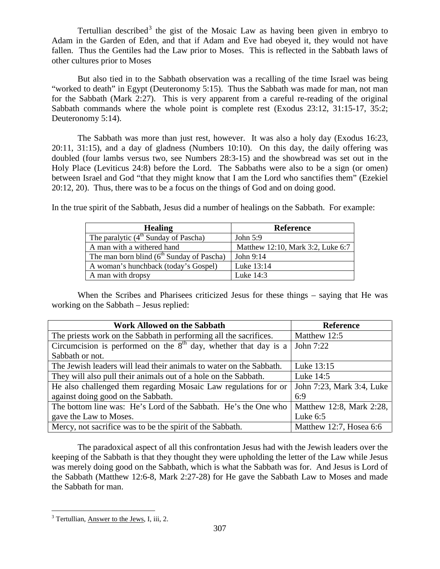Tertullian described<sup>[3](#page-1-0)</sup> the gist of the Mosaic Law as having been given in embryo to Adam in the Garden of Eden, and that if Adam and Eve had obeyed it, they would not have fallen. Thus the Gentiles had the Law prior to Moses. This is reflected in the Sabbath laws of other cultures prior to Moses

But also tied in to the Sabbath observation was a recalling of the time Israel was being "worked to death" in Egypt (Deuteronomy 5:15). Thus the Sabbath was made for man, not man for the Sabbath (Mark 2:27). This is very apparent from a careful re-reading of the original Sabbath commands where the whole point is complete rest (Exodus 23:12, 31:15-17, 35:2; Deuteronomy 5:14).

The Sabbath was more than just rest, however. It was also a holy day (Exodus 16:23, 20:11, 31:15), and a day of gladness (Numbers 10:10). On this day, the daily offering was doubled (four lambs versus two, see Numbers 28:3-15) and the showbread was set out in the Holy Place (Leviticus 24:8) before the Lord. The Sabbaths were also to be a sign (or omen) between Israel and God "that they might know that I am the Lord who sanctifies them" (Ezekiel 20:12, 20). Thus, there was to be a focus on the things of God and on doing good.

In the true spirit of the Sabbath, Jesus did a number of healings on the Sabbath. For example:

| <b>Healing</b>                              | <b>Reference</b>                  |
|---------------------------------------------|-----------------------------------|
| The paralytic $(4th$ Sunday of Pascha)      | John $5:9$                        |
| A man with a withered hand                  | Matthew 12:10, Mark 3:2, Luke 6:7 |
| The man born blind $(6th$ Sunday of Pascha) | John $9:14$                       |
| A woman's hunchback (today's Gospel)        | Luke 13:14                        |
| A man with dropsy                           | Luke $14:3$                       |

When the Scribes and Pharisees criticized Jesus for these things – saying that He was working on the Sabbath – Jesus replied:

| <b>Work Allowed on the Sabbath</b>                                          | Reference                 |
|-----------------------------------------------------------------------------|---------------------------|
| The priests work on the Sabbath in performing all the sacrifices.           | Matthew 12:5              |
| Circumcision is performed on the $8th$ day, whether that day is a John 7:22 |                           |
| Sabbath or not.                                                             |                           |
| The Jewish leaders will lead their animals to water on the Sabbath.         | Luke 13:15                |
| They will also pull their animals out of a hole on the Sabbath.             | Luke 14:5                 |
| He also challenged them regarding Mosaic Law regulations for or             | John 7:23, Mark 3:4, Luke |
| against doing good on the Sabbath.                                          | 6:9                       |
| The bottom line was: He's Lord of the Sabbath. He's the One who             | Matthew 12:8, Mark 2:28,  |
| gave the Law to Moses.                                                      | Luke $6:5$                |
| Mercy, not sacrifice was to be the spirit of the Sabbath.                   | Matthew 12:7, Hosea 6:6   |

The paradoxical aspect of all this confrontation Jesus had with the Jewish leaders over the keeping of the Sabbath is that they thought they were upholding the letter of the Law while Jesus was merely doing good on the Sabbath, which is what the Sabbath was for. And Jesus is Lord of the Sabbath (Matthew 12:6-8, Mark 2:27-28) for He gave the Sabbath Law to Moses and made the Sabbath for man.

<span id="page-1-0"></span><sup>&</sup>lt;sup>3</sup> Tertullian, Answer to the Jews, I, iii, 2.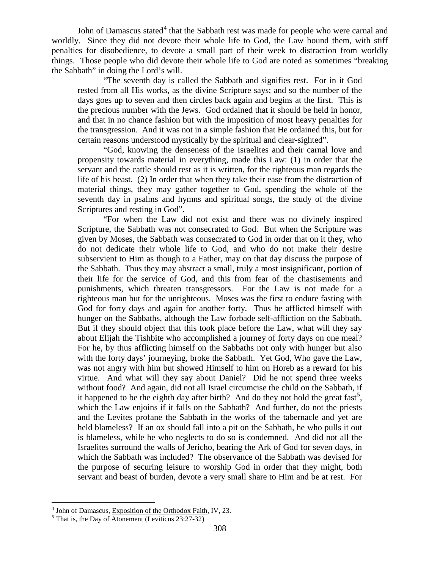John of Damascus stated<sup>[4](#page-2-0)</sup> that the Sabbath rest was made for people who were carnal and worldly. Since they did not devote their whole life to God, the Law bound them, with stiff penalties for disobedience, to devote a small part of their week to distraction from worldly things. Those people who did devote their whole life to God are noted as sometimes "breaking the Sabbath" in doing the Lord's will.

"The seventh day is called the Sabbath and signifies rest. For in it God rested from all His works, as the divine Scripture says; and so the number of the days goes up to seven and then circles back again and begins at the first. This is the precious number with the Jews. God ordained that it should be held in honor, and that in no chance fashion but with the imposition of most heavy penalties for the transgression. And it was not in a simple fashion that He ordained this, but for certain reasons understood mystically by the spiritual and clear-sighted".

"God, knowing the denseness of the Israelites and their carnal love and propensity towards material in everything, made this Law: (1) in order that the servant and the cattle should rest as it is written, for the righteous man regards the life of his beast. (2) In order that when they take their ease from the distraction of material things, they may gather together to God, spending the whole of the seventh day in psalms and hymns and spiritual songs, the study of the divine Scriptures and resting in God".

"For when the Law did not exist and there was no divinely inspired Scripture, the Sabbath was not consecrated to God. But when the Scripture was given by Moses, the Sabbath was consecrated to God in order that on it they, who do not dedicate their whole life to God, and who do not make their desire subservient to Him as though to a Father, may on that day discuss the purpose of the Sabbath. Thus they may abstract a small, truly a most insignificant, portion of their life for the service of God, and this from fear of the chastisements and punishments, which threaten transgressors. For the Law is not made for a righteous man but for the unrighteous. Moses was the first to endure fasting with God for forty days and again for another forty. Thus he afflicted himself with hunger on the Sabbaths, although the Law forbade self-affliction on the Sabbath. But if they should object that this took place before the Law, what will they say about Elijah the Tishbite who accomplished a journey of forty days on one meal? For he, by thus afflicting himself on the Sabbaths not only with hunger but also with the forty days' journeying, broke the Sabbath. Yet God, Who gave the Law, was not angry with him but showed Himself to him on Horeb as a reward for his virtue. And what will they say about Daniel? Did he not spend three weeks without food? And again, did not all Israel circumcise the child on the Sabbath, if it happened to be the eighth day after birth? And do they not hold the great fast<sup>[5](#page-2-1)</sup>, which the Law enjoins if it falls on the Sabbath? And further, do not the priests and the Levites profane the Sabbath in the works of the tabernacle and yet are held blameless? If an ox should fall into a pit on the Sabbath, he who pulls it out is blameless, while he who neglects to do so is condemned. And did not all the Israelites surround the walls of Jericho, bearing the Ark of God for seven days, in which the Sabbath was included? The observance of the Sabbath was devised for the purpose of securing leisure to worship God in order that they might, both servant and beast of burden, devote a very small share to Him and be at rest. For

<span id="page-2-0"></span><sup>&</sup>lt;sup>4</sup> John of Damascus, Exposition of the Orthodox Faith, IV, 23.  $5$  That is, the Day of Atonement (Leviticus 23:27-32)

<span id="page-2-1"></span>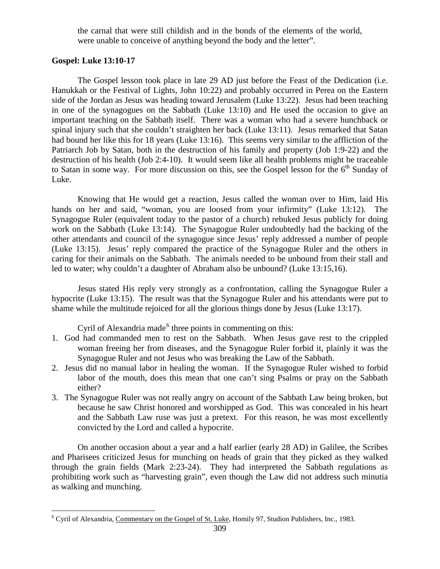the carnal that were still childish and in the bonds of the elements of the world, were unable to conceive of anything beyond the body and the letter".

## **Gospel: Luke 13:10-17**

The Gospel lesson took place in late 29 AD just before the Feast of the Dedication (i.e. Hanukkah or the Festival of Lights, John 10:22) and probably occurred in Perea on the Eastern side of the Jordan as Jesus was heading toward Jerusalem (Luke 13:22). Jesus had been teaching in one of the synagogues on the Sabbath (Luke 13:10) and He used the occasion to give an important teaching on the Sabbath itself. There was a woman who had a severe hunchback or spinal injury such that she couldn't straighten her back (Luke 13:11). Jesus remarked that Satan had bound her like this for 18 years (Luke 13:16). This seems very similar to the affliction of the Patriarch Job by Satan, both in the destruction of his family and property (Job 1:9-22) and the destruction of his health (Job 2:4-10). It would seem like all health problems might be traceable to Satan in some way. For more discussion on this, see the Gospel lesson for the  $6<sup>th</sup>$  Sunday of Luke.

Knowing that He would get a reaction, Jesus called the woman over to Him, laid His hands on her and said, "woman, you are loosed from your infirmity" (Luke 13:12). The Synagogue Ruler (equivalent today to the pastor of a church) rebuked Jesus publicly for doing work on the Sabbath (Luke 13:14). The Synagogue Ruler undoubtedly had the backing of the other attendants and council of the synagogue since Jesus' reply addressed a number of people (Luke 13:15). Jesus' reply compared the practice of the Synagogue Ruler and the others in caring for their animals on the Sabbath. The animals needed to be unbound from their stall and led to water; why couldn't a daughter of Abraham also be unbound? (Luke 13:15,16).

Jesus stated His reply very strongly as a confrontation, calling the Synagogue Ruler a hypocrite (Luke 13:15). The result was that the Synagogue Ruler and his attendants were put to shame while the multitude rejoiced for all the glorious things done by Jesus (Luke 13:17).

Cyril of Alexandria made<sup>[6](#page-3-0)</sup> three points in commenting on this:

- 1. God had commanded men to rest on the Sabbath. When Jesus gave rest to the crippled woman freeing her from diseases, and the Synagogue Ruler forbid it, plainly it was the Synagogue Ruler and not Jesus who was breaking the Law of the Sabbath.
- 2. Jesus did no manual labor in healing the woman. If the Synagogue Ruler wished to forbid labor of the mouth, does this mean that one can't sing Psalms or pray on the Sabbath either?
- 3. The Synagogue Ruler was not really angry on account of the Sabbath Law being broken, but because he saw Christ honored and worshipped as God. This was concealed in his heart and the Sabbath Law ruse was just a pretext. For this reason, he was most excellently convicted by the Lord and called a hypocrite.

On another occasion about a year and a half earlier (early 28 AD) in Galilee, the Scribes and Pharisees criticized Jesus for munching on heads of grain that they picked as they walked through the grain fields (Mark 2:23-24). They had interpreted the Sabbath regulations as prohibiting work such as "harvesting grain", even though the Law did not address such minutia as walking and munching.

<span id="page-3-0"></span> <sup>6</sup> Cyril of Alexandria, Commentary on the Gospel of St. Luke, Homily 97, Studion Publishers, Inc., 1983.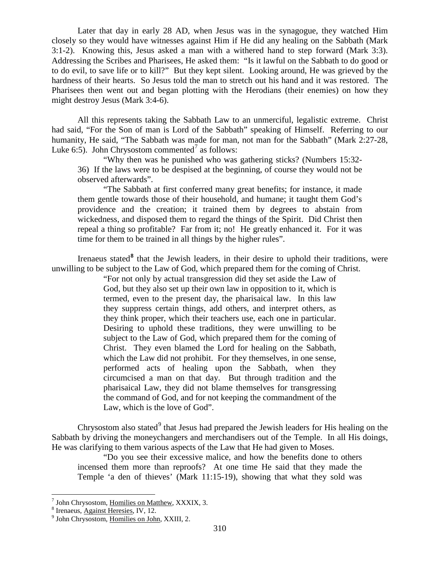Later that day in early 28 AD, when Jesus was in the synagogue, they watched Him closely so they would have witnesses against Him if He did any healing on the Sabbath (Mark 3:1-2). Knowing this, Jesus asked a man with a withered hand to step forward (Mark 3:3). Addressing the Scribes and Pharisees, He asked them: "Is it lawful on the Sabbath to do good or to do evil, to save life or to kill?" But they kept silent. Looking around, He was grieved by the hardness of their hearts. So Jesus told the man to stretch out his hand and it was restored. The Pharisees then went out and began plotting with the Herodians (their enemies) on how they might destroy Jesus (Mark 3:4-6).

All this represents taking the Sabbath Law to an unmerciful, legalistic extreme. Christ had said, "For the Son of man is Lord of the Sabbath" speaking of Himself. Referring to our humanity, He said, "The Sabbath was made for man, not man for the Sabbath" (Mark 2:27-28, Luke 6:5). John Chrysostom commented<sup>[7](#page-4-0)</sup> as follows:

"Why then was he punished who was gathering sticks? (Numbers 15:32- 36) If the laws were to be despised at the beginning, of course they would not be observed afterwards".

"The Sabbath at first conferred many great benefits; for instance, it made them gentle towards those of their household, and humane; it taught them God's providence and the creation; it trained them by degrees to abstain from wickedness, and disposed them to regard the things of the Spirit. Did Christ then repeal a thing so profitable? Far from it; no! He greatly enhanced it. For it was time for them to be trained in all things by the higher rules".

Irenaeus stated<sup>[8](#page-4-1)</sup> that the Jewish leaders, in their desire to uphold their traditions, were unwilling to be subject to the Law of God, which prepared them for the coming of Christ.

> "For not only by actual transgression did they set aside the Law of God, but they also set up their own law in opposition to it, which is termed, even to the present day, the pharisaical law. In this law they suppress certain things, add others, and interpret others, as they think proper, which their teachers use, each one in particular. Desiring to uphold these traditions, they were unwilling to be subject to the Law of God, which prepared them for the coming of Christ. They even blamed the Lord for healing on the Sabbath, which the Law did not prohibit. For they themselves, in one sense, performed acts of healing upon the Sabbath, when they circumcised a man on that day. But through tradition and the pharisaical Law, they did not blame themselves for transgressing the command of God, and for not keeping the commandment of the Law, which is the love of God".

Chrysostom also stated<sup>[9](#page-4-2)</sup> that Jesus had prepared the Jewish leaders for His healing on the Sabbath by driving the moneychangers and merchandisers out of the Temple. In all His doings, He was clarifying to them various aspects of the Law that He had given to Moses.

"Do you see their excessive malice, and how the benefits done to others incensed them more than reproofs? At one time He said that they made the Temple 'a den of thieves' (Mark 11:15-19), showing that what they sold was

<span id="page-4-0"></span><sup>&</sup>lt;sup>7</sup> John Chrysostom, <u>Homilies on Matthew</u>, XXXIX, 3.<br><sup>8</sup> Irenaeus, <u>Against Heresies</u>, IV, 12.<br>9 John Chrysostom, <u>Homilies on John</u>, XXIII, 2.

<span id="page-4-1"></span>

<span id="page-4-2"></span>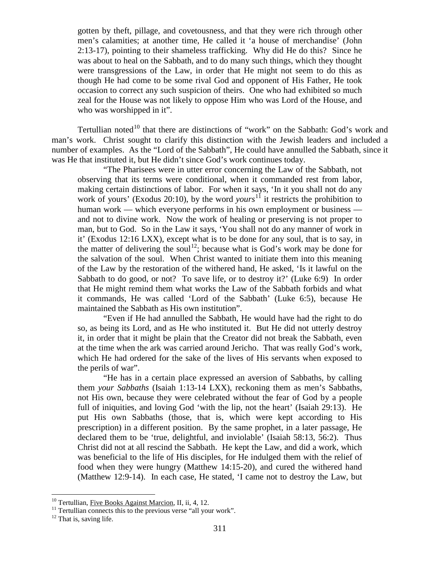gotten by theft, pillage, and covetousness, and that they were rich through other men's calamities; at another time, He called it 'a house of merchandise' (John 2:13-17), pointing to their shameless trafficking. Why did He do this? Since he was about to heal on the Sabbath, and to do many such things, which they thought were transgressions of the Law, in order that He might not seem to do this as though He had come to be some rival God and opponent of His Father, He took occasion to correct any such suspicion of theirs. One who had exhibited so much zeal for the House was not likely to oppose Him who was Lord of the House, and who was worshipped in it".

Tertullian noted<sup>[10](#page-5-0)</sup> that there are distinctions of "work" on the Sabbath: God's work and man's work. Christ sought to clarify this distinction with the Jewish leaders and included a number of examples. As the "Lord of the Sabbath", He could have annulled the Sabbath, since it was He that instituted it, but He didn't since God's work continues today.

"The Pharisees were in utter error concerning the Law of the Sabbath, not observing that its terms were conditional, when it commanded rest from labor, making certain distinctions of labor. For when it says, 'In it you shall not do any work of yours' (Exodus 20:10), by the word *yours*<sup>[11](#page-5-1)</sup> it restricts the prohibition to human work — which everyone performs in his own employment or business and not to divine work. Now the work of healing or preserving is not proper to man, but to God. So in the Law it says, 'You shall not do any manner of work in it' (Exodus 12:16 LXX), except what is to be done for any soul, that is to say, in the matter of delivering the soul<sup>[12](#page-5-2)</sup>; because what is God's work may be done for the salvation of the soul. When Christ wanted to initiate them into this meaning of the Law by the restoration of the withered hand, He asked, 'Is it lawful on the Sabbath to do good, or not? To save life, or to destroy it?' (Luke 6:9) In order that He might remind them what works the Law of the Sabbath forbids and what it commands, He was called 'Lord of the Sabbath' (Luke 6:5), because He maintained the Sabbath as His own institution".

"Even if He had annulled the Sabbath, He would have had the right to do so, as being its Lord, and as He who instituted it. But He did not utterly destroy it, in order that it might be plain that the Creator did not break the Sabbath, even at the time when the ark was carried around Jericho. That was really God's work, which He had ordered for the sake of the lives of His servants when exposed to the perils of war".

"He has in a certain place expressed an aversion of Sabbaths, by calling them *your Sabbaths* (Isaiah 1:13-14 LXX), reckoning them as men's Sabbaths, not His own, because they were celebrated without the fear of God by a people full of iniquities, and loving God 'with the lip, not the heart' (Isaiah 29:13). He put His own Sabbaths (those, that is, which were kept according to His prescription) in a different position. By the same prophet, in a later passage, He declared them to be 'true, delightful, and inviolable' (Isaiah 58:13, 56:2). Thus Christ did not at all rescind the Sabbath. He kept the Law, and did a work, which was beneficial to the life of His disciples, for He indulged them with the relief of food when they were hungry (Matthew 14:15-20), and cured the withered hand (Matthew 12:9-14). In each case, He stated, 'I came not to destroy the Law, but

<span id="page-5-1"></span><span id="page-5-0"></span><sup>&</sup>lt;sup>10</sup> Tertullian, <u>Five Books Against Marcion</u>, II, ii, 4, 12.<br><sup>11</sup> Tertullian connects this to the previous verse "all your work". <sup>12</sup> That is, saving life.

<span id="page-5-2"></span>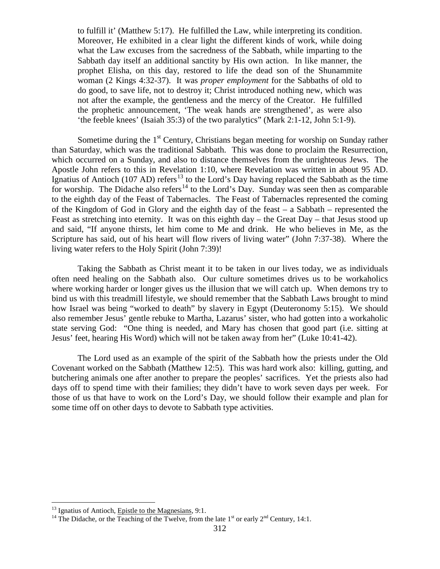to fulfill it' (Matthew 5:17). He fulfilled the Law, while interpreting its condition. Moreover, He exhibited in a clear light the different kinds of work, while doing what the Law excuses from the sacredness of the Sabbath, while imparting to the Sabbath day itself an additional sanctity by His own action. In like manner, the prophet Elisha, on this day, restored to life the dead son of the Shunammite woman (2 Kings 4:32-37). It was *proper employment* for the Sabbaths of old to do good, to save life, not to destroy it; Christ introduced nothing new, which was not after the example, the gentleness and the mercy of the Creator. He fulfilled the prophetic announcement, 'The weak hands are strengthened', as were also 'the feeble knees' (Isaiah 35:3) of the two paralytics" (Mark 2:1-12, John 5:1-9).

Sometime during the  $1<sup>st</sup>$  Century, Christians began meeting for worship on Sunday rather than Saturday, which was the traditional Sabbath. This was done to proclaim the Resurrection, which occurred on a Sunday, and also to distance themselves from the unrighteous Jews. The Apostle John refers to this in Revelation 1:10, where Revelation was written in about 95 AD. Ignatius of Antioch (107 AD) refers<sup>[13](#page-6-0)</sup> to the Lord's Day having replaced the Sabbath as the time for worship. The Didache also refers<sup>[14](#page-6-1)</sup> to the Lord's Day. Sunday was seen then as comparable to the eighth day of the Feast of Tabernacles. The Feast of Tabernacles represented the coming of the Kingdom of God in Glory and the eighth day of the feast – a Sabbath – represented the Feast as stretching into eternity. It was on this eighth day – the Great Day – that Jesus stood up and said, "If anyone thirsts, let him come to Me and drink. He who believes in Me, as the Scripture has said, out of his heart will flow rivers of living water" (John 7:37-38). Where the living water refers to the Holy Spirit (John 7:39)!

Taking the Sabbath as Christ meant it to be taken in our lives today, we as individuals often need healing on the Sabbath also. Our culture sometimes drives us to be workaholics where working harder or longer gives us the illusion that we will catch up. When demons try to bind us with this treadmill lifestyle, we should remember that the Sabbath Laws brought to mind how Israel was being "worked to death" by slavery in Egypt (Deuteronomy 5:15). We should also remember Jesus' gentle rebuke to Martha, Lazarus' sister, who had gotten into a workaholic state serving God: "One thing is needed, and Mary has chosen that good part (i.e. sitting at Jesus' feet, hearing His Word) which will not be taken away from her" (Luke 10:41-42).

The Lord used as an example of the spirit of the Sabbath how the priests under the Old Covenant worked on the Sabbath (Matthew 12:5). This was hard work also: killing, gutting, and butchering animals one after another to prepare the peoples' sacrifices. Yet the priests also had days off to spend time with their families; they didn't have to work seven days per week. For those of us that have to work on the Lord's Day, we should follow their example and plan for some time off on other days to devote to Sabbath type activities.

<span id="page-6-1"></span><span id="page-6-0"></span><sup>&</sup>lt;sup>13</sup> Ignatius of Antioch, <u>Epistle to the Magnesians</u>, 9:1.<br><sup>14</sup> The Didache, or the Teaching of the Twelve, from the late 1<sup>st</sup> or early 2<sup>nd</sup> Century, 14:1.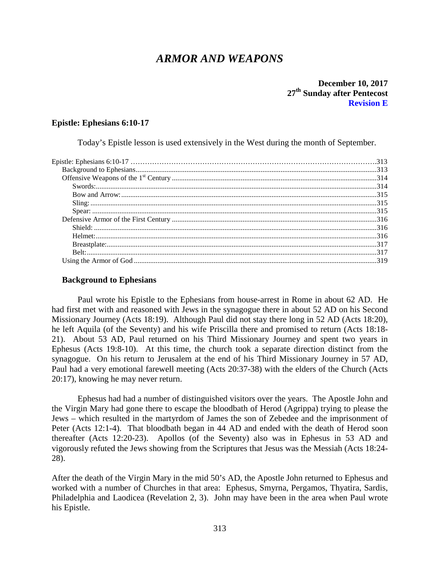# *ARMOR AND WEAPONS*

## **December 10, 2017 27th Sunday after Pentecost Revision E**

## <span id="page-7-0"></span>**Epistle: Ephesians 6:10-17**

Today's Epistle lesson is used extensively in the West during the month of September.

## <span id="page-7-1"></span>**Background to Ephesians**

Paul wrote his Epistle to the Ephesians from house-arrest in Rome in about 62 AD. He had first met with and reasoned with Jews in the synagogue there in about 52 AD on his Second Missionary Journey (Acts 18:19). Although Paul did not stay there long in 52 AD (Acts 18:20), he left Aquila (of the Seventy) and his wife Priscilla there and promised to return (Acts 18:18- 21). About 53 AD, Paul returned on his Third Missionary Journey and spent two years in Ephesus (Acts 19:8-10). At this time, the church took a separate direction distinct from the synagogue. On his return to Jerusalem at the end of his Third Missionary Journey in 57 AD, Paul had a very emotional farewell meeting (Acts 20:37-38) with the elders of the Church (Acts 20:17), knowing he may never return.

Ephesus had had a number of distinguished visitors over the years. The Apostle John and the Virgin Mary had gone there to escape the bloodbath of Herod (Agrippa) trying to please the Jews – which resulted in the martyrdom of James the son of Zebedee and the imprisonment of Peter (Acts 12:1-4). That bloodbath began in 44 AD and ended with the death of Herod soon thereafter (Acts 12:20-23). Apollos (of the Seventy) also was in Ephesus in 53 AD and vigorously refuted the Jews showing from the Scriptures that Jesus was the Messiah (Acts 18:24- 28).

After the death of the Virgin Mary in the mid 50's AD, the Apostle John returned to Ephesus and worked with a number of Churches in that area: Ephesus, Smyrna, Pergamos, Thyatira, Sardis, Philadelphia and Laodicea (Revelation 2, 3). John may have been in the area when Paul wrote his Epistle.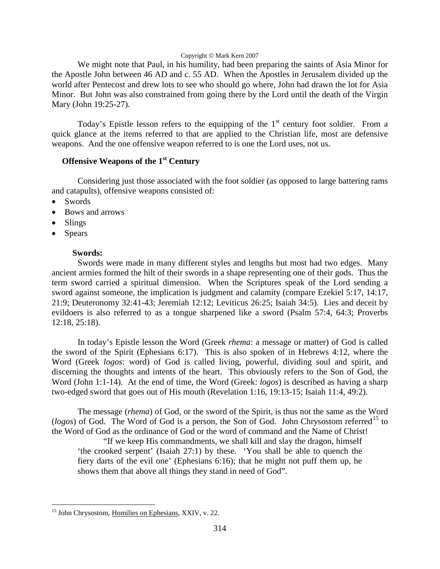#### Copyright  $\circ$  Mark Kern 2007

We might note that Paul, in his humility, had been preparing the saints of Asia Minor for the Apostle John between 46 AD and c. 55 AD. When the Apostles in Jerusalem divided up the world after Pentecost and drew lots to see who should go where, John had drawn the lot for Asia Minor. But John was also constrained from going there by the Lord until the death of the Virgin Mary (John 19:25-27).

Today's Epistle lesson refers to the equipping of the  $1<sup>st</sup>$  century foot soldier. From a quick glance at the items referred to that are applied to the Christian life, most are defensive weapons. And the one offensive weapon referred to is one the Lord uses, not us.

## <span id="page-8-0"></span>**Offensive Weapons of the 1st Century**

Considering just those associated with the foot soldier (as opposed to large battering rams and catapults), offensive weapons consisted of:

- Swords
- Bows and arrows
- Slings
- Spears

## **Swords:**

<span id="page-8-1"></span>Swords were made in many different styles and lengths but most had two edges. Many ancient armies formed the hilt of their swords in a shape representing one of their gods. Thus the term sword carried a spiritual dimension. When the Scriptures speak of the Lord sending a sword against someone, the implication is judgment and calamity (compare Ezekiel 5:17, 14:17, 21:9; Deuteronomy 32:41-43; Jeremiah 12:12; Leviticus 26:25; Isaiah 34:5). Lies and deceit by evildoers is also referred to as a tongue sharpened like a sword (Psalm 57:4, 64:3; Proverbs 12:18, 25:18).

In today's Epistle lesson the Word (Greek *rhema*: a message or matter) of God is called the sword of the Spirit (Ephesians 6:17). This is also spoken of in Hebrews 4:12, where the Word (Greek *logos*: word) of God is called living, powerful, dividing soul and spirit, and discerning the thoughts and intents of the heart. This obviously refers to the Son of God, the Word (John 1:1-14). At the end of time, the Word (Greek: *logos*) is described as having a sharp two-edged sword that goes out of His mouth (Revelation 1:16, 19:13-15; Isaiah 11:4, 49:2).

The message (*rhema*) of God, or the sword of the Spirit, is thus not the same as the Word ( $logos$ ) of God. The Word of God is a person, the Son of God. John Chrysostom referred<sup>[15](#page-8-2)</sup> to the Word of God as the ordinance of God or the word of command and the Name of Christ!

"If we keep His commandments, we shall kill and slay the dragon, himself 'the crooked serpent' (Isaiah 27:1) by these. 'You shall be able to quench the fiery darts of the evil one' (Ephesians 6:16); that he might not puff them up, he shows them that above all things they stand in need of God".

<span id="page-8-2"></span><sup>&</sup>lt;sup>15</sup> John Chrysostom, Homilies on Ephesians, XXIV, v. 22.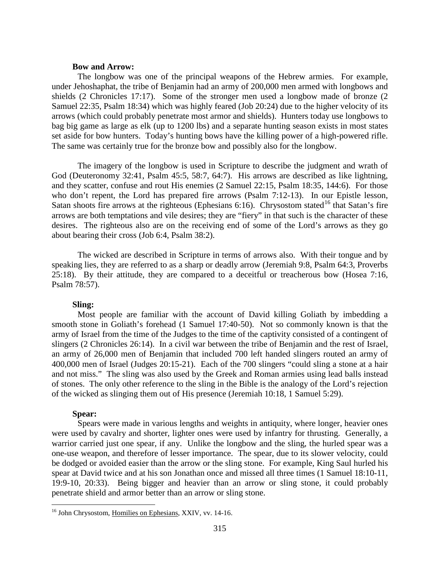#### **Bow and Arrow:**

<span id="page-9-0"></span>The longbow was one of the principal weapons of the Hebrew armies. For example, under Jehoshaphat, the tribe of Benjamin had an army of 200,000 men armed with longbows and shields (2 Chronicles 17:17). Some of the stronger men used a longbow made of bronze (2 Samuel 22:35, Psalm 18:34) which was highly feared (Job 20:24) due to the higher velocity of its arrows (which could probably penetrate most armor and shields). Hunters today use longbows to bag big game as large as elk (up to 1200 lbs) and a separate hunting season exists in most states set aside for bow hunters. Today's hunting bows have the killing power of a high-powered rifle. The same was certainly true for the bronze bow and possibly also for the longbow.

The imagery of the longbow is used in Scripture to describe the judgment and wrath of God (Deuteronomy 32:41, Psalm 45:5, 58:7, 64:7). His arrows are described as like lightning, and they scatter, confuse and rout His enemies (2 Samuel 22:15, Psalm 18:35, 144:6). For those who don't repent, the Lord has prepared fire arrows (Psalm 7:12-13). In our Epistle lesson, Satan shoots fire arrows at the righteous (Ephesians 6:[16](#page-9-3)). Chrysostom stated<sup>16</sup> that Satan's fire arrows are both temptations and vile desires; they are "fiery" in that such is the character of these desires. The righteous also are on the receiving end of some of the Lord's arrows as they go about bearing their cross (Job 6:4, Psalm 38:2).

The wicked are described in Scripture in terms of arrows also. With their tongue and by speaking lies, they are referred to as a sharp or deadly arrow (Jeremiah 9:8, Psalm 64:3, Proverbs 25:18). By their attitude, they are compared to a deceitful or treacherous bow (Hosea 7:16, Psalm 78:57).

## **Sling:**

<span id="page-9-1"></span>Most people are familiar with the account of David killing Goliath by imbedding a smooth stone in Goliath's forehead (1 Samuel 17:40-50). Not so commonly known is that the army of Israel from the time of the Judges to the time of the captivity consisted of a contingent of slingers (2 Chronicles 26:14). In a civil war between the tribe of Benjamin and the rest of Israel, an army of 26,000 men of Benjamin that included 700 left handed slingers routed an army of 400,000 men of Israel (Judges 20:15-21). Each of the 700 slingers "could sling a stone at a hair and not miss." The sling was also used by the Greek and Roman armies using lead balls instead of stones. The only other reference to the sling in the Bible is the analogy of the Lord's rejection of the wicked as slinging them out of His presence (Jeremiah 10:18, 1 Samuel 5:29).

#### **Spear:**

<span id="page-9-2"></span>Spears were made in various lengths and weights in antiquity, where longer, heavier ones were used by cavalry and shorter, lighter ones were used by infantry for thrusting. Generally, a warrior carried just one spear, if any. Unlike the longbow and the sling, the hurled spear was a one-use weapon, and therefore of lesser importance. The spear, due to its slower velocity, could be dodged or avoided easier than the arrow or the sling stone. For example, King Saul hurled his spear at David twice and at his son Jonathan once and missed all three times (1 Samuel 18:10-11, 19:9-10, 20:33). Being bigger and heavier than an arrow or sling stone, it could probably penetrate shield and armor better than an arrow or sling stone.

<span id="page-9-3"></span><sup>&</sup>lt;sup>16</sup> John Chrysostom, Homilies on Ephesians, XXIV, vv. 14-16.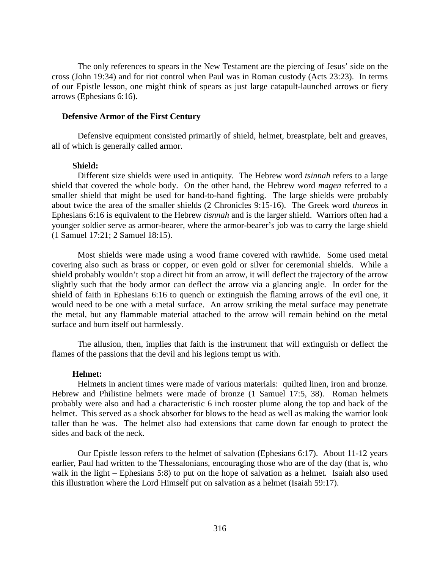The only references to spears in the New Testament are the piercing of Jesus' side on the cross (John 19:34) and for riot control when Paul was in Roman custody (Acts 23:23). In terms of our Epistle lesson, one might think of spears as just large catapult-launched arrows or fiery arrows (Ephesians 6:16).

#### <span id="page-10-0"></span>**Defensive Armor of the First Century**

Defensive equipment consisted primarily of shield, helmet, breastplate, belt and greaves, all of which is generally called armor.

#### **Shield:**

<span id="page-10-1"></span>Different size shields were used in antiquity. The Hebrew word *tsinnah* refers to a large shield that covered the whole body. On the other hand, the Hebrew word *magen* referred to a smaller shield that might be used for hand-to-hand fighting. The large shields were probably about twice the area of the smaller shields (2 Chronicles 9:15-16). The Greek word *thureos* in Ephesians 6:16 is equivalent to the Hebrew *tisnnah* and is the larger shield. Warriors often had a younger soldier serve as armor-bearer, where the armor-bearer's job was to carry the large shield (1 Samuel 17:21; 2 Samuel 18:15).

Most shields were made using a wood frame covered with rawhide. Some used metal covering also such as brass or copper, or even gold or silver for ceremonial shields. While a shield probably wouldn't stop a direct hit from an arrow, it will deflect the trajectory of the arrow slightly such that the body armor can deflect the arrow via a glancing angle. In order for the shield of faith in Ephesians 6:16 to quench or extinguish the flaming arrows of the evil one, it would need to be one with a metal surface. An arrow striking the metal surface may penetrate the metal, but any flammable material attached to the arrow will remain behind on the metal surface and burn itself out harmlessly.

The allusion, then, implies that faith is the instrument that will extinguish or deflect the flames of the passions that the devil and his legions tempt us with.

#### **Helmet:**

<span id="page-10-2"></span>Helmets in ancient times were made of various materials: quilted linen, iron and bronze. Hebrew and Philistine helmets were made of bronze (1 Samuel 17:5, 38). Roman helmets probably were also and had a characteristic 6 inch rooster plume along the top and back of the helmet. This served as a shock absorber for blows to the head as well as making the warrior look taller than he was. The helmet also had extensions that came down far enough to protect the sides and back of the neck.

Our Epistle lesson refers to the helmet of salvation (Ephesians 6:17). About 11-12 years earlier, Paul had written to the Thessalonians, encouraging those who are of the day (that is, who walk in the light – Ephesians 5:8) to put on the hope of salvation as a helmet. Isaiah also used this illustration where the Lord Himself put on salvation as a helmet (Isaiah 59:17).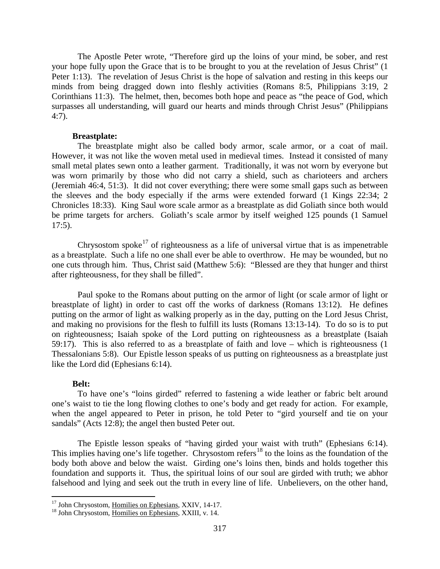The Apostle Peter wrote, "Therefore gird up the loins of your mind, be sober, and rest your hope fully upon the Grace that is to be brought to you at the revelation of Jesus Christ" (1 Peter 1:13). The revelation of Jesus Christ is the hope of salvation and resting in this keeps our minds from being dragged down into fleshly activities (Romans 8:5, Philippians 3:19, 2 Corinthians 11:3). The helmet, then, becomes both hope and peace as "the peace of God, which surpasses all understanding, will guard our hearts and minds through Christ Jesus" (Philippians 4:7).

#### **Breastplate:**

<span id="page-11-0"></span>The breastplate might also be called body armor, scale armor, or a coat of mail. However, it was not like the woven metal used in medieval times. Instead it consisted of many small metal plates sewn onto a leather garment. Traditionally, it was not worn by everyone but was worn primarily by those who did not carry a shield, such as charioteers and archers (Jeremiah 46:4, 51:3). It did not cover everything; there were some small gaps such as between the sleeves and the body especially if the arms were extended forward (1 Kings 22:34; 2 Chronicles 18:33). King Saul wore scale armor as a breastplate as did Goliath since both would be prime targets for archers. Goliath's scale armor by itself weighed 125 pounds (1 Samuel 17:5).

Chrysostom spoke<sup>[17](#page-11-2)</sup> of righteousness as a life of universal virtue that is as impenetrable as a breastplate. Such a life no one shall ever be able to overthrow. He may be wounded, but no one cuts through him. Thus, Christ said (Matthew 5:6): "Blessed are they that hunger and thirst after righteousness, for they shall be filled".

Paul spoke to the Romans about putting on the armor of light (or scale armor of light or breastplate of light) in order to cast off the works of darkness (Romans 13:12). He defines putting on the armor of light as walking properly as in the day, putting on the Lord Jesus Christ, and making no provisions for the flesh to fulfill its lusts (Romans 13:13-14). To do so is to put on righteousness; Isaiah spoke of the Lord putting on righteousness as a breastplate (Isaiah 59:17). This is also referred to as a breastplate of faith and love – which is righteousness (1 Thessalonians 5:8). Our Epistle lesson speaks of us putting on righteousness as a breastplate just like the Lord did (Ephesians 6:14).

## **Belt:**

<span id="page-11-1"></span>To have one's "loins girded" referred to fastening a wide leather or fabric belt around one's waist to tie the long flowing clothes to one's body and get ready for action. For example, when the angel appeared to Peter in prison, he told Peter to "gird yourself and tie on your sandals" (Acts 12:8); the angel then busted Peter out.

The Epistle lesson speaks of "having girded your waist with truth" (Ephesians 6:14). This implies having one's life together. Chrysostom refers<sup>[18](#page-11-3)</sup> to the loins as the foundation of the body both above and below the waist. Girding one's loins then, binds and holds together this foundation and supports it. Thus, the spiritual loins of our soul are girded with truth; we abhor falsehood and lying and seek out the truth in every line of life. Unbelievers, on the other hand,

<span id="page-11-2"></span><sup>&</sup>lt;sup>17</sup> John Chrysostom, <u>Homilies on Ephesians</u>, XXIV, 14-17.<br><sup>18</sup> John Chrysostom, Homilies on Ephesians, XXIII, v. 14.

<span id="page-11-3"></span>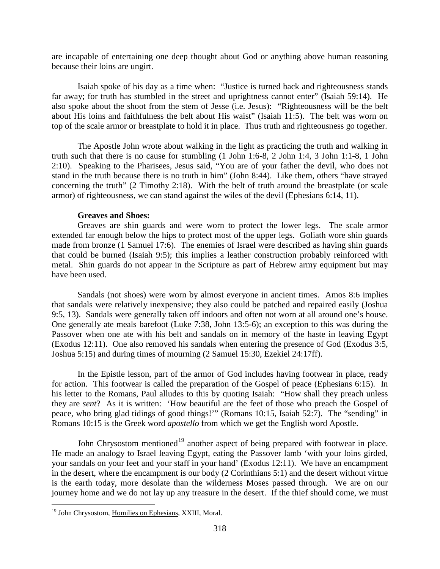are incapable of entertaining one deep thought about God or anything above human reasoning because their loins are ungirt.

Isaiah spoke of his day as a time when: "Justice is turned back and righteousness stands far away; for truth has stumbled in the street and uprightness cannot enter" (Isaiah 59:14). He also spoke about the shoot from the stem of Jesse (i.e. Jesus): "Righteousness will be the belt about His loins and faithfulness the belt about His waist" (Isaiah 11:5). The belt was worn on top of the scale armor or breastplate to hold it in place. Thus truth and righteousness go together.

The Apostle John wrote about walking in the light as practicing the truth and walking in truth such that there is no cause for stumbling (1 John 1:6-8, 2 John 1:4, 3 John 1:1-8, 1 John 2:10). Speaking to the Pharisees, Jesus said, "You are of your father the devil, who does not stand in the truth because there is no truth in him" (John 8:44). Like them, others "have strayed concerning the truth" (2 Timothy 2:18). With the belt of truth around the breastplate (or scale armor) of righteousness, we can stand against the wiles of the devil (Ephesians 6:14, 11).

## **Greaves and Shoes:**

Greaves are shin guards and were worn to protect the lower legs. The scale armor extended far enough below the hips to protect most of the upper legs. Goliath wore shin guards made from bronze (1 Samuel 17:6). The enemies of Israel were described as having shin guards that could be burned (Isaiah 9:5); this implies a leather construction probably reinforced with metal. Shin guards do not appear in the Scripture as part of Hebrew army equipment but may have been used.

Sandals (not shoes) were worn by almost everyone in ancient times. Amos 8:6 implies that sandals were relatively inexpensive; they also could be patched and repaired easily (Joshua 9:5, 13). Sandals were generally taken off indoors and often not worn at all around one's house. One generally ate meals barefoot (Luke 7:38, John 13:5-6); an exception to this was during the Passover when one ate with his belt and sandals on in memory of the haste in leaving Egypt (Exodus 12:11). One also removed his sandals when entering the presence of God (Exodus 3:5, Joshua 5:15) and during times of mourning (2 Samuel 15:30, Ezekiel 24:17ff).

In the Epistle lesson, part of the armor of God includes having footwear in place, ready for action. This footwear is called the preparation of the Gospel of peace (Ephesians 6:15). In his letter to the Romans, Paul alludes to this by quoting Isaiah: "How shall they preach unless they are *sent*? As it is written: 'How beautiful are the feet of those who preach the Gospel of peace, who bring glad tidings of good things!'" (Romans 10:15, Isaiah 52:7). The "sending" in Romans 10:15 is the Greek word *apostello* from which we get the English word Apostle.

John Chrysostom mentioned<sup>[19](#page-12-0)</sup> another aspect of being prepared with footwear in place. He made an analogy to Israel leaving Egypt, eating the Passover lamb 'with your loins girded, your sandals on your feet and your staff in your hand' (Exodus 12:11). We have an encampment in the desert, where the encampment is our body (2 Corinthians 5:1) and the desert without virtue is the earth today, more desolate than the wilderness Moses passed through. We are on our journey home and we do not lay up any treasure in the desert. If the thief should come, we must

<span id="page-12-0"></span><sup>&</sup>lt;sup>19</sup> John Chrysostom, Homilies on Ephesians, XXIII, Moral.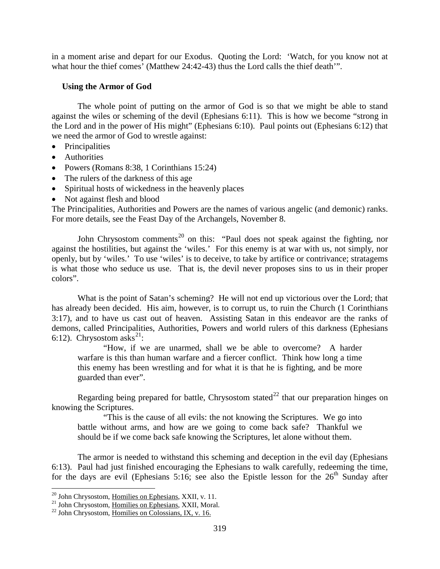in a moment arise and depart for our Exodus. Quoting the Lord: 'Watch, for you know not at what hour the thief comes' (Matthew 24:42-43) thus the Lord calls the thief death'".

## <span id="page-13-0"></span>**Using the Armor of God**

The whole point of putting on the armor of God is so that we might be able to stand against the wiles or scheming of the devil (Ephesians 6:11). This is how we become "strong in the Lord and in the power of His might" (Ephesians 6:10). Paul points out (Ephesians 6:12) that we need the armor of God to wrestle against:

- Principalities
- Authorities
- Powers (Romans 8:38, 1 Corinthians 15:24)
- The rulers of the darkness of this age
- Spiritual hosts of wickedness in the heavenly places
- Not against flesh and blood

The Principalities, Authorities and Powers are the names of various angelic (and demonic) ranks. For more details, see the Feast Day of the Archangels, November 8.

John Chrysostom comments<sup>[20](#page-13-1)</sup> on this: "Paul does not speak against the fighting, nor against the hostilities, but against the 'wiles.' For this enemy is at war with us, not simply, nor openly, but by 'wiles.' To use 'wiles' is to deceive, to take by artifice or contrivance; stratagems is what those who seduce us use. That is, the devil never proposes sins to us in their proper colors".

What is the point of Satan's scheming? He will not end up victorious over the Lord; that has already been decided. His aim, however, is to corrupt us, to ruin the Church (1 Corinthians 3:17), and to have us cast out of heaven. Assisting Satan in this endeavor are the ranks of demons, called Principalities, Authorities, Powers and world rulers of this darkness (Ephesians 6:12). Chrysostom asks<sup>[21](#page-13-2)</sup>:

"How, if we are unarmed, shall we be able to overcome? A harder warfare is this than human warfare and a fiercer conflict. Think how long a time this enemy has been wrestling and for what it is that he is fighting, and be more guarded than ever".

Regarding being prepared for battle, Chrysostom stated<sup>[22](#page-13-3)</sup> that our preparation hinges on knowing the Scriptures.

"This is the cause of all evils: the not knowing the Scriptures. We go into battle without arms, and how are we going to come back safe? Thankful we should be if we come back safe knowing the Scriptures, let alone without them.

The armor is needed to withstand this scheming and deception in the evil day (Ephesians 6:13). Paul had just finished encouraging the Ephesians to walk carefully, redeeming the time, for the days are evil (Ephesians 5:16; see also the Epistle lesson for the  $26<sup>th</sup>$  Sunday after

<span id="page-13-2"></span><span id="page-13-1"></span><sup>&</sup>lt;sup>20</sup> John Chrysostom, <u>Homilies on Ephesians</u>, XXII, v. 11.<br><sup>21</sup> John Chrysostom, <u>Homilies on Ephesians</u>, XXII, Moral.<br><sup>22</sup> John Chrysostom, Homilies on Colossians, IX, v. 16.

<span id="page-13-3"></span>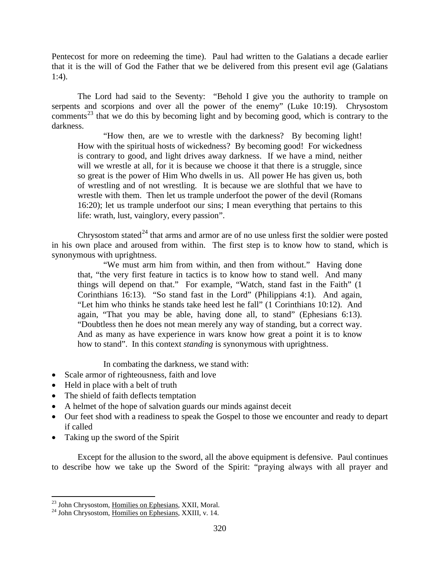Pentecost for more on redeeming the time). Paul had written to the Galatians a decade earlier that it is the will of God the Father that we be delivered from this present evil age (Galatians 1:4).

The Lord had said to the Seventy: "Behold I give you the authority to trample on serpents and scorpions and over all the power of the enemy" (Luke 10:19). Chrysostom comments<sup>[23](#page-14-0)</sup> that we do this by becoming light and by becoming good, which is contrary to the darkness.

"How then, are we to wrestle with the darkness? By becoming light! How with the spiritual hosts of wickedness? By becoming good! For wickedness is contrary to good, and light drives away darkness. If we have a mind, neither will we wrestle at all, for it is because we choose it that there is a struggle, since so great is the power of Him Who dwells in us. All power He has given us, both of wrestling and of not wrestling. It is because we are slothful that we have to wrestle with them. Then let us trample underfoot the power of the devil (Romans 16:20); let us trample underfoot our sins; I mean everything that pertains to this life: wrath, lust, vainglory, every passion".

Chrysostom stated<sup> $24$ </sup> that arms and armor are of no use unless first the soldier were posted in his own place and aroused from within. The first step is to know how to stand, which is synonymous with uprightness.

"We must arm him from within, and then from without." Having done that, "the very first feature in tactics is to know how to stand well. And many things will depend on that." For example, "Watch, stand fast in the Faith" (1 Corinthians 16:13). "So stand fast in the Lord" (Philippians 4:1). And again, "Let him who thinks he stands take heed lest he fall" (1 Corinthians 10:12). And again, "That you may be able, having done all, to stand" (Ephesians 6:13). "Doubtless then he does not mean merely any way of standing, but a correct way. And as many as have experience in wars know how great a point it is to know how to stand". In this context *standing* is synonymous with uprightness.

In combating the darkness, we stand with:

- Scale armor of righteousness, faith and love
- Held in place with a belt of truth
- The shield of faith deflects temptation
- A helmet of the hope of salvation guards our minds against deceit
- Our feet shod with a readiness to speak the Gospel to those we encounter and ready to depart if called
- Taking up the sword of the Spirit

Except for the allusion to the sword, all the above equipment is defensive. Paul continues to describe how we take up the Sword of the Spirit: "praying always with all prayer and

<span id="page-14-0"></span><sup>&</sup>lt;sup>23</sup> John Chrysostom, <u>Homilies on Ephesians</u>, XXII, Moral. <sup>24</sup> John Chrysostom, <u>Homilies on Ephesians</u>, XXIII, v. 14.

<span id="page-14-1"></span>